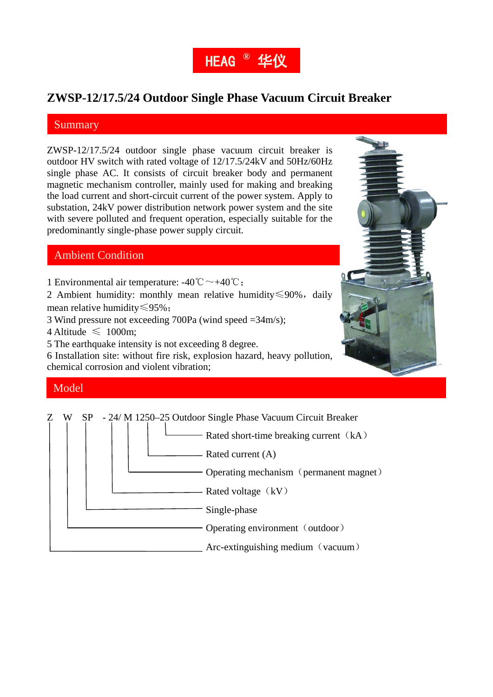

### **ZWSP-12/17.5/24 Outdoor Single Phase Vacuum Circuit Breaker**

#### **Summary**

ZWSP-12/17.5/24 outdoor single phase vacuum circuit breaker is outdoor HV switch with rated voltage of 12/17.5/24kV and 50Hz/60Hz single phase AC. It consists of circuit breaker body and permanent magnetic mechanism controller, mainly used for making and breaking the load current and short-circuit current of the power system. Apply to substation, 24kV power distribution network power system and the site with severe polluted and frequent operation, especially suitable for the predominantly single-phase power supply circuit.

### Ambient Condition

1 Environmental air temperature:  $-40^{\circ}\text{C} \rightarrow +40^{\circ}\text{C}$ ;

2 Ambient humidity: monthly mean relative humidity≤90%, daily mean relative humidity≤95%;

3 Wind pressure not exceeding 700Pa (wind speed =34m/s);

4 Altitude  $\leq 1000$ m:

5 The earthquake intensity is not exceeding 8 degree.

6 Installation site: without fire risk, explosion hazard, heavy pollution, chemical corrosion and violent vibration;

## ◆ 耐受空气污秽程度:Ⅳ级。 Model

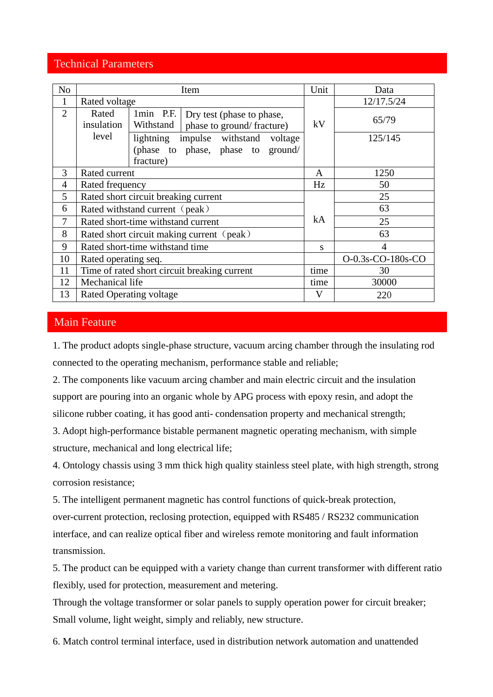### Technical Parameters

| N <sub>o</sub> | Item                                         |                        |                                                                | Unit         | Data              |
|----------------|----------------------------------------------|------------------------|----------------------------------------------------------------|--------------|-------------------|
| 1              | Rated voltage                                |                        |                                                                |              | 12/17.5/24        |
| $\overline{2}$ | Rated<br>insulation                          | 1min P.F.<br>Withstand | Dry test (phase to phase,<br>phase to ground/fracture)         | kV           | 65/79             |
|                | level                                        | lightning              | impulse withstand voltage<br>(phase to phase, phase to ground/ |              | 125/145           |
|                |                                              | fracture)              |                                                                |              |                   |
| 3              | Rated current                                |                        |                                                                | A            | 1250              |
| $\overline{4}$ | Rated frequency                              |                        |                                                                | Hz           | 50                |
| 5              | Rated short circuit breaking current         |                        |                                                                | 25           |                   |
| 6              | Rated withstand current (peak)               |                        |                                                                |              | 63                |
| 7              | Rated short-time withstand current           |                        |                                                                | kA           | 25                |
| 8              | Rated short circuit making current (peak)    |                        |                                                                |              | 63                |
| 9              | Rated short-time withstand time              |                        |                                                                | S            | $\overline{A}$    |
| 10             | Rated operating seq.                         |                        |                                                                |              | O-0.3s-CO-180s-CO |
| 11             | Time of rated short circuit breaking current |                        |                                                                | time         | 30                |
| 12             | Mechanical life                              |                        |                                                                | time         | 30000             |
| 13             | Rated Operating voltage                      |                        |                                                                | $\mathbf{V}$ | 220               |

### Main Feature

1. The product adopts single-phase structure, vacuum arcing chamber through the insulating rod connected to the operating mechanism, performance stable and reliable;

2. The components like vacuum arcing chamber and main electric circuit and the insulation support are pouring into an organic whole by APG process with epoxy resin, and adopt the silicone rubber coating, it has good anti- condensation property and mechanical strength;

3. Adopt high-performance bistable permanent magnetic operating mechanism, with simple structure, mechanical and long electrical life;

4. Ontology chassis using 3 mm thick high quality stainless steel plate, with high strength, strong corrosion resistance;

5. The intelligent permanent magnetic has control functions of quick-break protection, over-current protection, reclosing protection, equipped with RS485 / RS232 communication interface, and can realize optical fiber and wireless remote monitoring and fault information transmission.

5. The product can be equipped with a variety change than current transformer with different ratio flexibly, used for protection, measurement and metering.

Through the voltage transformer or solar panels to supply operation power for circuit breaker; Small volume, light weight, simply and reliably, new structure.

6. Match control terminal interface, used in distribution network automation and unattended